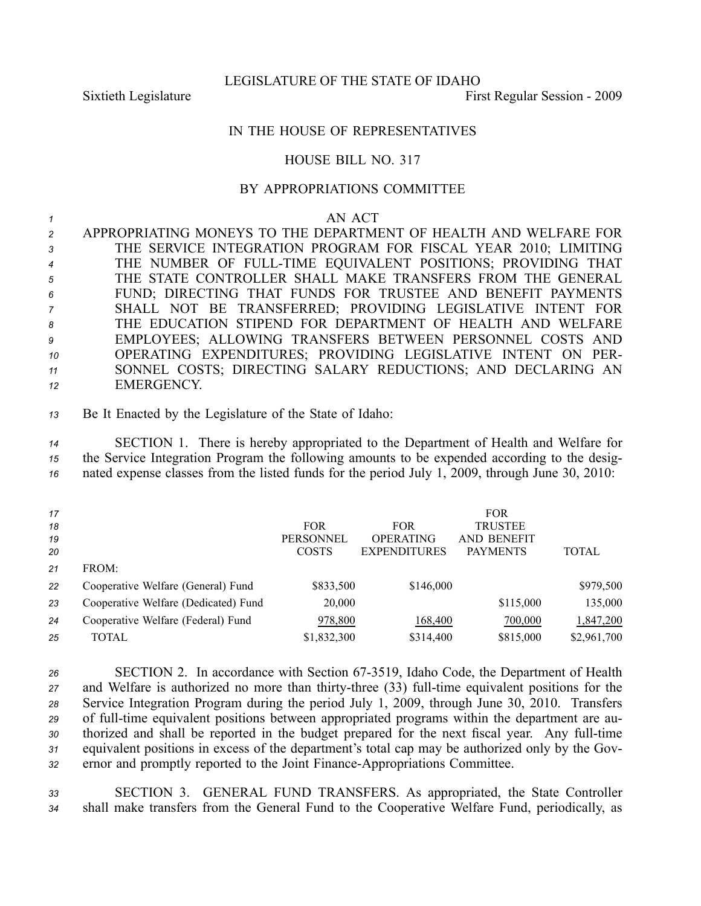LEGISLATURE OF THE STATE OF IDAHO

Sixtieth Legislature First Regular Session - 2009

## IN THE HOUSE OF REPRESENTATIVES

## HOUSE BILL NO. 317

## BY APPROPRIATIONS COMMITTEE

| AN ACT |
|--------|
|        |

 APPROPRIATING MONEYS TO THE DEPARTMENT OF HEALTH AND WELFARE FOR THE SERVICE INTEGRATION PROGRAM FOR FISCAL YEAR 2010; LIMITING THE NUMBER OF FULLTIME EQUIVALENT POSITIONS; PROVIDING THAT THE STATE CONTROLLER SHALL MAKE TRANSFERS FROM THE GENERAL FUND; DIRECTING THAT FUNDS FOR TRUSTEE AND BENEFIT PAYMENTS SHALL NOT BE TRANSFERRED; PROVIDING LEGISLATIVE INTENT FOR THE EDUCATION STIPEND FOR DEPARTMENT OF HEALTH AND WELFARE EMPLOYEES; ALLOWING TRANSFERS BETWEEN PERSONNEL COSTS AND OPERATING EXPENDITURES; PROVIDING LEGISLATIVE INTENT ON PER- SONNEL COSTS; DIRECTING SALARY REDUCTIONS; AND DECLARING AN EMERGENCY.

*<sup>13</sup>* Be It Enacted by the Legislature of the State of Idaho:

*<sup>14</sup>* SECTION 1. There is hereby appropriated to the Department of Health and Welfare for *<sup>15</sup>* the Service Integration Program the following amounts to be expended according to the desig-*<sup>16</sup>* nated expense classes from the listed funds for the period July 1, 2009, through June 30, 2010:

| 17 |                                      |                  |                     | <b>FOR</b>         |              |
|----|--------------------------------------|------------------|---------------------|--------------------|--------------|
| 18 |                                      | <b>FOR</b>       | <b>FOR</b>          | <b>TRUSTEE</b>     |              |
| 19 |                                      | <b>PERSONNEL</b> | <b>OPERATING</b>    | <b>AND BENEFIT</b> |              |
| 20 |                                      | <b>COSTS</b>     | <b>EXPENDITURES</b> | <b>PAYMENTS</b>    | <b>TOTAL</b> |
| 21 | FROM:                                |                  |                     |                    |              |
| 22 | Cooperative Welfare (General) Fund   | \$833,500        | \$146,000           |                    | \$979,500    |
| 23 | Cooperative Welfare (Dedicated) Fund | 20,000           |                     | \$115,000          | 135,000      |
| 24 | Cooperative Welfare (Federal) Fund   | 978,800          | 168,400             | 700,000            | 1,847,200    |
| 25 | TOTAL                                | \$1,832,300      | \$314,400           | \$815,000          | \$2,961,700  |

*<sup>26</sup>* SECTION 2. In accordance with Section 673519, Idaho Code, the Department of Health *27* and Welfare is authorized no more than thirty-three (33) full-time equivalent positions for the *<sup>28</sup>* Service Integration Program during the period July 1, 2009, through June 30, 2010. Transfers 29 of full-time equivalent positions between appropriated programs within the department are au-30 thorized and shall be reported in the budget prepared for the next fiscal year. Any full-time *<sup>31</sup>* equivalent positions in excess of the department's total cap may be authorized only by the Gov-32 ernor and promptly reported to the Joint Finance-Appropriations Committee.

*<sup>33</sup>* SECTION 3. GENERAL FUND TRANSFERS. As appropriated, the State Controller *<sup>34</sup>* shall make transfers from the General Fund to the Cooperative Welfare Fund, periodically, as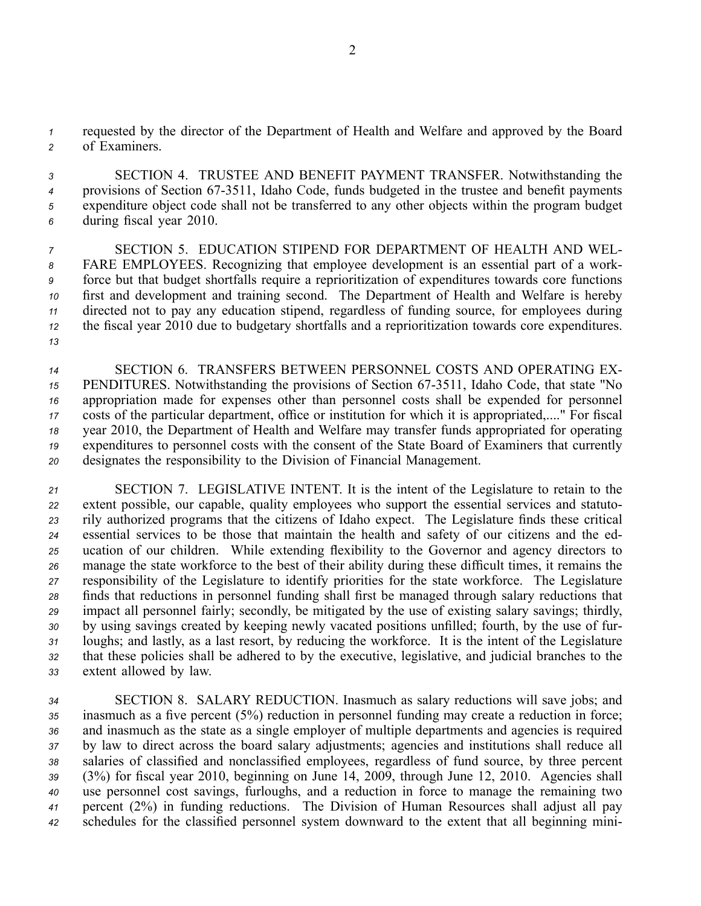*<sup>1</sup>* requested by the director of the Department of Health and Welfare and approved by the Board *<sup>2</sup>* of Examiners.

 SECTION 4. TRUSTEE AND BENEFIT PAYMENT TRANSFER. Notwithstanding the provisions of Section 673511, Idaho Code, funds budgeted in the trustee and benefit payments expenditure object code shall not be transferred to any other objects within the program budget during fiscal year 2010.

 SECTION 5. EDUCATION STIPEND FOR DEPARTMENT OF HEALTH AND WEL- FARE EMPLOYEES. Recognizing that employee development is an essential par<sup>t</sup> of <sup>a</sup> work- force but that budget shortfalls require <sup>a</sup> reprioritization of expenditures towards core functions first and development and training second. The Department of Health and Welfare is hereby directed not to pay any education stipend, regardless of funding source, for employees during the fiscal year 2010 due to budgetary shortfalls and <sup>a</sup> reprioritization towards core expenditures. *13*

 SECTION 6. TRANSFERS BETWEEN PERSONNEL COSTS AND OPERATING EX-15 PENDITURES. Notwithstanding the provisions of Section 67-3511, Idaho Code, that state "No appropriation made for expenses other than personnel costs shall be expended for personnel costs of the particular department, office or institution for which it is appropriated,...." For fiscal year 2010, the Department of Health and Welfare may transfer funds appropriated for operating expenditures to personnel costs with the consent of the State Board of Examiners that currently designates the responsibility to the Division of Financial Management.

 SECTION 7. LEGISLATIVE INTENT. It is the intent of the Legislature to retain to the extent possible, our capable, quality employees who suppor<sup>t</sup> the essential services and statuto- rily authorized programs that the citizens of Idaho expect. The Legislature finds these critical essential services to be those that maintain the health and safety of our citizens and the ed- ucation of our children. While extending flexibility to the Governor and agency directors to manage the state workforce to the best of their ability during these difficult times, it remains the responsibility of the Legislature to identify priorities for the state workforce. The Legislature finds that reductions in personnel funding shall first be managed through salary reductions that impact all personnel fairly; secondly, be mitigated by the use of existing salary savings; thirdly, by using savings created by keeping newly vacated positions unfilled; fourth, by the use of fur- loughs; and lastly, as <sup>a</sup> last resort, by reducing the workforce. It is the intent of the Legislature that these policies shall be adhered to by the executive, legislative, and judicial branches to the extent allowed by law.

 SECTION 8. SALARY REDUCTION. Inasmuch as salary reductions will save jobs; and inasmuch as <sup>a</sup> five percen<sup>t</sup> (5%) reduction in personnel funding may create <sup>a</sup> reduction in force; and inasmuch as the state as <sup>a</sup> single employer of multiple departments and agencies is required by law to direct across the board salary adjustments; agencies and institutions shall reduce all salaries of classified and nonclassified employees, regardless of fund source, by three percen<sup>t</sup> (3%) for fiscal year 2010, beginning on June 14, 2009, through June 12, 2010. Agencies shall use personnel cost savings, furloughs, and <sup>a</sup> reduction in force to manage the remaining two percen<sup>t</sup> (2%) in funding reductions. The Division of Human Resources shall adjust all pay schedules for the classified personnel system downward to the extent that all beginning mini